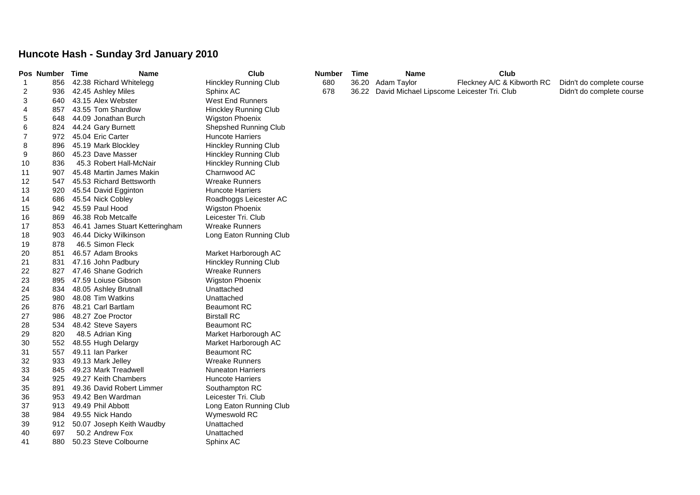## **Huncote Hash - Sunday 3rd January 2010**

|    | Pos Number | Time | Name                            | Club                         | <b>Number</b> | <b>Time</b> | <b>Name</b>                                | Club                       |                           |
|----|------------|------|---------------------------------|------------------------------|---------------|-------------|--------------------------------------------|----------------------------|---------------------------|
| -1 | 856        |      | 42.38 Richard Whitelegg         | <b>Hinckley Running Club</b> | 680           |             | 36.20 Adam Taylor                          | Fleckney A/C & Kibworth RC | Didn't do complete course |
| 2  | 936        |      | 42.45 Ashley Miles              | Sphinx AC                    | 678           | 36.22       | David Michael Lipscome Leicester Tri. Club |                            | Didn't do complete course |
| 3  | 640        |      | 43.15 Alex Webster              | <b>West End Runners</b>      |               |             |                                            |                            |                           |
| 4  | 857        |      | 43.55 Tom Shardlow              | <b>Hinckley Running Club</b> |               |             |                                            |                            |                           |
| 5  | 648        |      | 44.09 Jonathan Burch            | <b>Wigston Phoenix</b>       |               |             |                                            |                            |                           |
| 6  | 824        |      | 44.24 Gary Burnett              | Shepshed Running Club        |               |             |                                            |                            |                           |
| 7  | 972        |      | 45.04 Eric Carter               | Huncote Harriers             |               |             |                                            |                            |                           |
| 8  | 896        |      | 45.19 Mark Blockley             | <b>Hinckley Running Club</b> |               |             |                                            |                            |                           |
| 9  | 860        |      | 45.23 Dave Masser               | <b>Hinckley Running Club</b> |               |             |                                            |                            |                           |
| 10 | 836        |      | 45.3 Robert Hall-McNair         | <b>Hinckley Running Club</b> |               |             |                                            |                            |                           |
| 11 | 907        |      | 45.48 Martin James Makin        | Charnwood AC                 |               |             |                                            |                            |                           |
| 12 | 547        |      | 45.53 Richard Bettsworth        | <b>Wreake Runners</b>        |               |             |                                            |                            |                           |
| 13 | 920        |      | 45.54 David Egginton            | <b>Huncote Harriers</b>      |               |             |                                            |                            |                           |
| 14 | 686        |      | 45.54 Nick Cobley               | Roadhoggs Leicester AC       |               |             |                                            |                            |                           |
| 15 | 942        |      | 45.59 Paul Hood                 | <b>Wigston Phoenix</b>       |               |             |                                            |                            |                           |
| 16 | 869        |      | 46.38 Rob Metcalfe              | Leicester Tri. Club          |               |             |                                            |                            |                           |
| 17 | 853        |      | 46.41 James Stuart Ketteringham | <b>Wreake Runners</b>        |               |             |                                            |                            |                           |
| 18 | 903        |      | 46.44 Dicky Wilkinson           | Long Eaton Running Club      |               |             |                                            |                            |                           |
| 19 | 878        |      | 46.5 Simon Fleck                |                              |               |             |                                            |                            |                           |
| 20 | 851        |      | 46.57 Adam Brooks               | Market Harborough AC         |               |             |                                            |                            |                           |
| 21 | 831        |      | 47.16 John Padbury              | <b>Hinckley Running Club</b> |               |             |                                            |                            |                           |
| 22 | 827        |      | 47.46 Shane Godrich             | <b>Wreake Runners</b>        |               |             |                                            |                            |                           |
| 23 | 895        |      | 47.59 Loiuse Gibson             | <b>Wigston Phoenix</b>       |               |             |                                            |                            |                           |
| 24 | 834        |      | 48.05 Ashley Brutnall           | Unattached                   |               |             |                                            |                            |                           |
| 25 | 980        |      | 48.08 Tim Watkins               | Unattached                   |               |             |                                            |                            |                           |
| 26 | 876        |      | 48.21 Carl Bartlam              | <b>Beaumont RC</b>           |               |             |                                            |                            |                           |
| 27 | 986        |      | 48.27 Zoe Proctor               | <b>Birstall RC</b>           |               |             |                                            |                            |                           |
| 28 | 534        |      | 48.42 Steve Sayers              | <b>Beaumont RC</b>           |               |             |                                            |                            |                           |
| 29 | 820        |      | 48.5 Adrian King                | Market Harborough AC         |               |             |                                            |                            |                           |
| 30 | 552        |      | 48.55 Hugh Delargy              | Market Harborough AC         |               |             |                                            |                            |                           |
| 31 | 557        |      | 49.11 Ian Parker                | <b>Beaumont RC</b>           |               |             |                                            |                            |                           |
| 32 | 933        |      | 49.13 Mark Jelley               | <b>Wreake Runners</b>        |               |             |                                            |                            |                           |
| 33 | 845        |      | 49.23 Mark Treadwell            | <b>Nuneaton Harriers</b>     |               |             |                                            |                            |                           |
| 34 | 925        |      | 49.27 Keith Chambers            | <b>Huncote Harriers</b>      |               |             |                                            |                            |                           |
| 35 | 891        |      | 49.36 David Robert Limmer       | Southampton RC               |               |             |                                            |                            |                           |
| 36 | 953        |      | 49.42 Ben Wardman               | Leicester Tri. Club          |               |             |                                            |                            |                           |
| 37 | 913        |      | 49.49 Phil Abbott               | Long Eaton Running Club      |               |             |                                            |                            |                           |
| 38 | 984        |      | 49.55 Nick Hando                | Wymeswold RC                 |               |             |                                            |                            |                           |
| 39 | 912        |      | 50.07 Joseph Keith Waudby       | Unattached                   |               |             |                                            |                            |                           |
| 40 | 697        |      | 50.2 Andrew Fox                 | Unattached                   |               |             |                                            |                            |                           |
| 41 | 880        |      | 50.23 Steve Colbourne           | Sphinx AC                    |               |             |                                            |                            |                           |
|    |            |      |                                 |                              |               |             |                                            |                            |                           |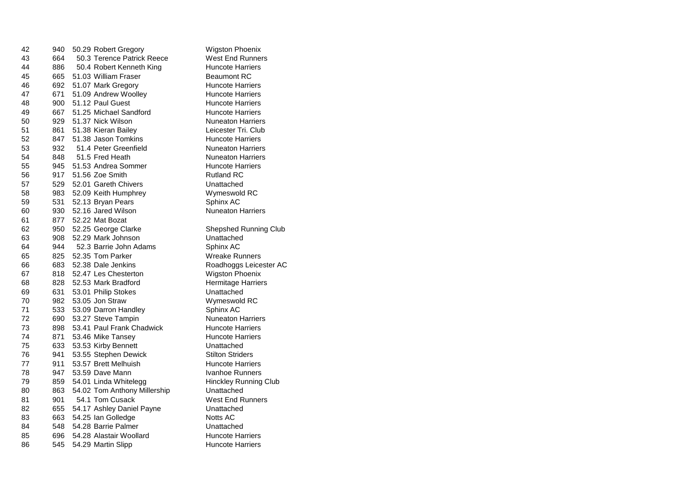| 42 | 940 | 50.29 Robert Gregory         | <b>Wigston Phoenix</b>   |
|----|-----|------------------------------|--------------------------|
| 43 | 664 | 50.3 Terence Patrick Reece   | West End Runner          |
| 44 | 886 | 50.4 Robert Kenneth King     | Huncote Harriers         |
| 45 | 665 | 51.03 William Fraser         | <b>Beaumont RC</b>       |
| 46 | 692 | 51.07 Mark Gregory           | <b>Huncote Harriers</b>  |
| 47 | 671 | 51.09 Andrew Woolley         | Huncote Harriers         |
| 48 | 900 | 51.12 Paul Guest             | <b>Huncote Harriers</b>  |
| 49 | 667 | 51.25 Michael Sandford       | <b>Huncote Harriers</b>  |
| 50 | 929 | 51.37 Nick Wilson            | <b>Nuneaton Harriers</b> |
| 51 | 861 | 51.38 Kieran Bailey          | Leicester Tri. Clut      |
| 52 | 847 | 51.38 Jason Tomkins          | <b>Huncote Harriers</b>  |
| 53 | 932 | 51.4 Peter Greenfield        | Nuneaton Harriers        |
| 54 | 848 | 51.5 Fred Heath              | <b>Nuneaton Harriers</b> |
| 55 | 945 | 51.53 Andrea Sommer          | <b>Huncote Harriers</b>  |
| 56 | 917 | 51.56 Zoe Smith              | <b>Rutland RC</b>        |
| 57 | 529 | 52.01 Gareth Chivers         | Unattached               |
| 58 | 983 | 52.09 Keith Humphrey         | Wymeswold RC             |
| 59 | 531 | 52.13 Bryan Pears            | Sphinx AC                |
| 60 | 930 | 52.16 Jared Wilson           | <b>Nuneaton Harriers</b> |
| 61 | 877 | 52.22 Mat Bozat              |                          |
| 62 | 950 | 52.25 George Clarke          | Shepshed Runnin          |
| 63 | 908 | 52.29 Mark Johnson           | Unattached               |
| 64 | 944 | 52.3 Barrie John Adams       | Sphinx AC                |
| 65 | 825 | 52.35 Tom Parker             | Wreake Runners           |
| 66 | 683 | 52.38 Dale Jenkins           | Roadhoggs Leice          |
| 67 | 818 | 52.47 Les Chesterton         | <b>Wigston Phoenix</b>   |
| 68 | 828 | 52.53 Mark Bradford          | Hermitage Harrier        |
| 69 | 631 | 53.01 Philip Stokes          | Unattached               |
| 70 | 982 | 53.05 Jon Straw              | Wymeswold RC             |
| 71 | 533 | 53.09 Darron Handley         | Sphinx AC                |
| 72 | 690 | 53.27 Steve Tampin           | <b>Nuneaton Harriers</b> |
| 73 | 898 | 53.41 Paul Frank Chadwick    | <b>Huncote Harriers</b>  |
| 74 | 871 | 53.46 Mike Tansey            | <b>Huncote Harriers</b>  |
| 75 | 633 | 53.53 Kirby Bennett          | Unattached               |
| 76 | 941 | 53.55 Stephen Dewick         | <b>Stilton Striders</b>  |
| 77 | 911 | 53.57 Brett Melhuish         | <b>Huncote Harriers</b>  |
| 78 | 947 | 53.59 Dave Mann              | Ivanhoe Runners          |
| 79 | 859 | 54.01 Linda Whitelegg        | <b>Hinckley Running</b>  |
| 80 | 863 | 54.02 Tom Anthony Millership | Unattached               |
| 81 | 901 | 54.1 Tom Cusack              | West End Runner          |
| 82 | 655 | 54.17 Ashley Daniel Payne    | Unattached               |
| 83 | 663 | 54.25 Ian Golledge           | <b>Notts AC</b>          |
| 84 | 548 | 54.28 Barrie Palmer          | Unattached               |
| 85 | 696 | 54.28 Alastair Woollard      | <b>Huncote Harriers</b>  |
| 86 | 545 | 54.29 Martin Slipp           | <b>Huncote Harriers</b>  |

**End Runners** cote Harriers mont RC cote Harriers cote Harriers cote Harriers cote Harriers aton Harriers ester Tri. Club cote Harriers aton Harriers aton Harriers cote Harri<mark>ers</mark><br>มnd RC eswold RC eaton Harriers oshed Running Club ake Runners hoggs Leicester AC ton Phoenix nitage Harriers neswold RC<br>nx AC aton Harriers cote Harriers cote Harriers n Striders cote Harriers noe Runners kley Running Club **End Runners** cote Harriers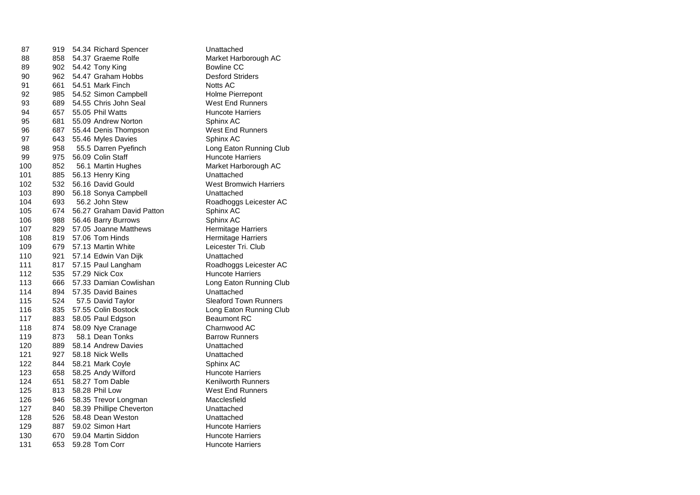| 87  | 919 | 54.34 Richard Spencer     | Unattached                    |
|-----|-----|---------------------------|-------------------------------|
| 88  | 858 | 54.37 Graeme Rolfe        | Market Harborough AC          |
| 89  | 902 | 54.42 Tony King           | Bowline CC                    |
| 90  | 962 | 54.47 Graham Hobbs        | <b>Desford Striders</b>       |
| 91  | 661 | 54.51 Mark Finch          | <b>Notts AC</b>               |
| 92  | 985 | 54.52 Simon Campbell      | Holme Pierrepont              |
| 93  | 689 | 54.55 Chris John Seal     | <b>West End Runners</b>       |
| 94  | 657 | 55.05 Phil Watts          | <b>Huncote Harriers</b>       |
| 95  | 681 | 55.09 Andrew Norton       | Sphinx AC                     |
| 96  | 687 | 55.44 Denis Thompson      | <b>West End Runners</b>       |
| 97  | 643 | 55.46 Myles Davies        | Sphinx AC                     |
| 98  | 958 | 55.5 Darren Pyefinch      | Long Eaton Running Club       |
| 99  | 975 | 56.09 Colin Staff         | Huncote Harriers              |
| 100 | 852 | 56.1 Martin Hughes        | Market Harborough AC          |
| 101 | 885 | 56.13 Henry King          | Unattached                    |
| 102 | 532 | 56.16 David Gould         | <b>West Bromwich Harriers</b> |
| 103 | 890 | 56.18 Sonya Campbell      | Unattached                    |
| 104 | 693 | 56.2 John Stew            | Roadhoggs Leicester AC        |
| 105 | 674 | 56.27 Graham David Patton | Sphinx AC                     |
| 106 | 988 | 56.46 Barry Burrows       | Sphinx AC                     |
| 107 | 829 | 57.05 Joanne Matthews     | <b>Hermitage Harriers</b>     |
| 108 | 819 | 57.06 Tom Hinds           | <b>Hermitage Harriers</b>     |
| 109 | 679 | 57.13 Martin White        | Leicester Tri. Club           |
| 110 | 921 | 57.14 Edwin Van Dijk      | Unattached                    |
| 111 | 817 | 57.15 Paul Langham        | Roadhoggs Leicester AC        |
| 112 | 535 | 57.29 Nick Cox            | <b>Huncote Harriers</b>       |
| 113 | 666 | 57.33 Damian Cowlishan    | Long Eaton Running Club       |
| 114 | 894 | 57.35 David Baines        | Unattached                    |
| 115 | 524 | 57.5 David Taylor         | <b>Sleaford Town Runners</b>  |
| 116 | 835 | 57.55 Colin Bostock       | Long Eaton Running Club       |
| 117 | 883 | 58.05 Paul Edgson         | <b>Beaumont RC</b>            |
| 118 | 874 | 58.09 Nye Cranage         | Charnwood AC                  |
| 119 | 873 | 58.1 Dean Tonks           | <b>Barrow Runners</b>         |
| 120 | 889 | 58.14 Andrew Davies       | Unattached                    |
| 121 | 927 | 58.18 Nick Wells          | Unattached                    |
| 122 | 844 | 58.21 Mark Coyle          | Sphinx AC                     |
| 123 | 658 | 58.25 Andy Wilford        | <b>Huncote Harriers</b>       |
| 124 | 651 | 58.27 Tom Dable           | <b>Kenilworth Runners</b>     |
| 125 | 813 | 58.28 Phil Low            | <b>West End Runners</b>       |
| 126 | 946 | 58.35 Trevor Longman      | Macclesfield                  |
| 127 | 840 | 58.39 Phillipe Cheverton  | Unattached                    |
| 128 | 526 | 58.48 Dean Weston         | Unattached                    |
| 129 | 887 | 59.02 Simon Hart          | <b>Huncote Harriers</b>       |
| 130 | 670 | 59.04 Martin Siddon       | <b>Huncote Harriers</b>       |
| 131 | 653 | 59.28 Tom Corr            | <b>Huncote Harriers</b>       |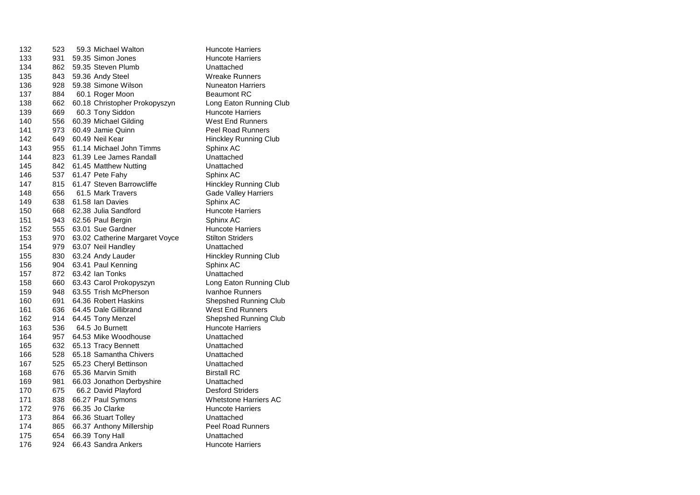| 132 | 523 | 59.3 Michael Walton            | <b>Huncote Harriers</b>      |
|-----|-----|--------------------------------|------------------------------|
| 133 | 931 | 59.35 Simon Jones              | <b>Huncote Harriers</b>      |
| 134 | 862 | 59.35 Steven Plumb             | Unattached                   |
| 135 | 843 | 59.36 Andy Steel               | <b>Wreake Runners</b>        |
| 136 | 928 | 59.38 Simone Wilson            | <b>Nuneaton Harriers</b>     |
| 137 | 884 | 60.1 Roger Moon                | <b>Beaumont RC</b>           |
| 138 | 662 | 60.18 Christopher Prokopyszyn  | Long Eaton Running Club      |
| 139 | 669 | 60.3 Tony Siddon               | <b>Huncote Harriers</b>      |
| 140 | 556 | 60.39 Michael Gilding          | <b>West End Runners</b>      |
| 141 | 973 | 60.49 Jamie Quinn              | <b>Peel Road Runners</b>     |
| 142 | 649 | 60.49 Neil Kear                | <b>Hinckley Running Club</b> |
| 143 | 955 | 61.14 Michael John Timms       | Sphinx AC                    |
| 144 | 823 | 61.39 Lee James Randall        | Unattached                   |
| 145 | 842 | 61.45 Matthew Nutting          | Unattached                   |
| 146 | 537 | 61.47 Pete Fahy                | Sphinx AC                    |
| 147 | 815 | 61.47 Steven Barrowcliffe      | <b>Hinckley Running Club</b> |
| 148 | 656 | 61.5 Mark Travers              | <b>Gade Valley Harriers</b>  |
| 149 | 638 | 61.58 Ian Davies               | Sphinx AC                    |
| 150 | 668 | 62.38 Julia Sandford           | <b>Huncote Harriers</b>      |
| 151 | 943 | 62.56 Paul Bergin              | Sphinx AC                    |
| 152 | 555 | 63.01 Sue Gardner              | <b>Huncote Harriers</b>      |
| 153 | 970 | 63.02 Catherine Margaret Voyce | <b>Stilton Striders</b>      |
| 154 | 979 | 63.07 Neil Handley             | Unattached                   |
| 155 | 830 | 63.24 Andy Lauder              | <b>Hinckley Running Club</b> |
| 156 | 904 | 63.41 Paul Kenning             | Sphinx AC                    |
| 157 | 872 | 63.42 Ian Tonks                | Unattached                   |
| 158 | 660 | 63.43 Carol Prokopyszyn        | Long Eaton Running Club      |
| 159 | 948 | 63.55 Trish McPherson          | Ivanhoe Runners              |
| 160 | 691 | 64.36 Robert Haskins           | Shepshed Running Club        |
| 161 | 636 | 64.45 Dale Gillibrand          | <b>West End Runners</b>      |
| 162 | 914 | 64.45 Tony Menzel              | Shepshed Running Club        |
| 163 | 536 | 64.5 Jo Burnett                | <b>Huncote Harriers</b>      |
| 164 | 957 | 64.53 Mike Woodhouse           | Unattached                   |
| 165 | 632 | 65.13 Tracy Bennett            | Unattached                   |
| 166 | 528 | 65.18 Samantha Chivers         | Unattached                   |
| 167 | 525 | 65.23 Cheryl Bettinson         | Unattached                   |
| 168 | 676 | 65.36 Marvin Smith             | <b>Birstall RC</b>           |
| 169 | 981 | 66.03 Jonathon Derbyshire      | Unattached                   |
| 170 | 675 | 66.2 David Playford            | <b>Desford Striders</b>      |
| 171 | 838 | 66.27 Paul Symons              | <b>Whetstone Harriers AC</b> |
| 172 | 976 | 66.35 Jo Clarke                | <b>Huncote Harriers</b>      |
| 173 | 864 | 66.36 Stuart Tolley            | Unattached                   |
| 174 | 865 | 66.37 Anthony Millership       | <b>Peel Road Runners</b>     |
| 175 | 654 | 66.39 Tony Hall                | Unattached                   |
| 176 | 924 | 66.43 Sandra Ankers            | Huncote Harriers             |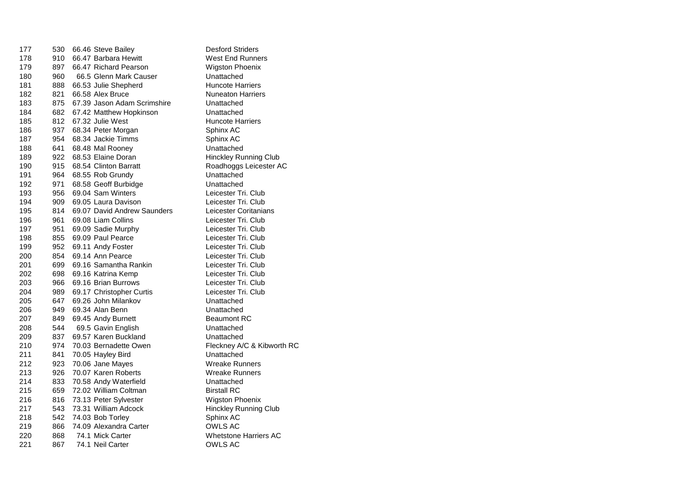| 177 | 530 | 66.46 Steve Bailey          | <b>Desford Striders</b>      |
|-----|-----|-----------------------------|------------------------------|
| 178 | 910 | 66.47 Barbara Hewitt        | West End Runners             |
| 179 | 897 | 66.47 Richard Pearson       | <b>Wigston Phoenix</b>       |
| 180 | 960 | 66.5 Glenn Mark Causer      | Unattached                   |
| 181 | 888 | 66.53 Julie Shepherd        | <b>Huncote Harriers</b>      |
| 182 | 821 | 66.58 Alex Bruce            | <b>Nuneaton Harriers</b>     |
| 183 | 875 | 67.39 Jason Adam Scrimshire | Unattached                   |
| 184 | 682 | 67.42 Matthew Hopkinson     | Unattached                   |
| 185 | 812 | 67.32 Julie West            | Huncote Harriers             |
| 186 | 937 | 68.34 Peter Morgan          | Sphinx AC                    |
| 187 | 954 | 68.34 Jackie Timms          | Sphinx AC                    |
| 188 | 641 | 68.48 Mal Rooney            | Unattached                   |
| 189 | 922 | 68.53 Elaine Doran          | Hinckley Running Club        |
| 190 | 915 | 68.54 Clinton Barratt       | Roadhoggs Leicester AC       |
| 191 | 964 | 68.55 Rob Grundy            | Unattached                   |
| 192 | 971 | 68.58 Geoff Burbidge        | Unattached                   |
| 193 | 956 | 69.04 Sam Winters           | Leicester Tri. Club          |
| 194 | 909 | 69.05 Laura Davison         | Leicester Tri. Club          |
| 195 | 814 | 69.07 David Andrew Saunders | Leicester Coritanians        |
| 196 | 961 | 69.08 Liam Collins          | Leicester Tri. Club          |
| 197 | 951 | 69.09 Sadie Murphy          | Leicester Tri. Club          |
| 198 | 855 | 69.09 Paul Pearce           | Leicester Tri. Club          |
| 199 | 952 | 69.11 Andy Foster           | Leicester Tri. Club          |
| 200 | 854 | 69.14 Ann Pearce            | Leicester Tri. Club          |
| 201 | 699 | 69.16 Samantha Rankin       | Leicester Tri. Club          |
| 202 | 698 | 69.16 Katrina Kemp          | Leicester Tri. Club          |
| 203 | 966 | 69.16 Brian Burrows         | Leicester Tri. Club          |
| 204 | 989 | 69.17 Christopher Curtis    | Leicester Tri. Club          |
| 205 | 647 | 69.26 John Milankov         | Unattached                   |
| 206 | 949 | 69.34 Alan Benn             | Unattached                   |
| 207 | 849 | 69.45 Andy Burnett          | <b>Beaumont RC</b>           |
| 208 | 544 | 69.5 Gavin English          | Unattached                   |
| 209 | 837 | 69.57 Karen Buckland        | Unattached                   |
| 210 | 974 | 70.03 Bernadette Owen       | Fleckney A/C & Kibworth RC   |
| 211 | 841 | 70.05 Hayley Bird           | Unattached                   |
| 212 | 923 | 70.06 Jane Mayes            | <b>Wreake Runners</b>        |
| 213 | 926 | 70.07 Karen Roberts         | <b>Wreake Runners</b>        |
| 214 | 833 | 70.58 Andy Waterfield       | Unattached                   |
| 215 | 659 | 72.02 William Coltman       | <b>Birstall RC</b>           |
| 216 | 816 | 73.13 Peter Sylvester       | <b>Wigston Phoenix</b>       |
| 217 | 543 | 73.31 William Adcock        | <b>Hinckley Running Club</b> |
| 218 | 542 | 74.03 Bob Torley            | Sphinx AC                    |
| 219 | 866 | 74.09 Alexandra Carter      | OWLS AC                      |
| 220 | 868 | 74.1 Mick Carter            | <b>Whetstone Harriers AC</b> |
| 221 | 867 | 74.1 Neil Carter            | OWLS AC                      |